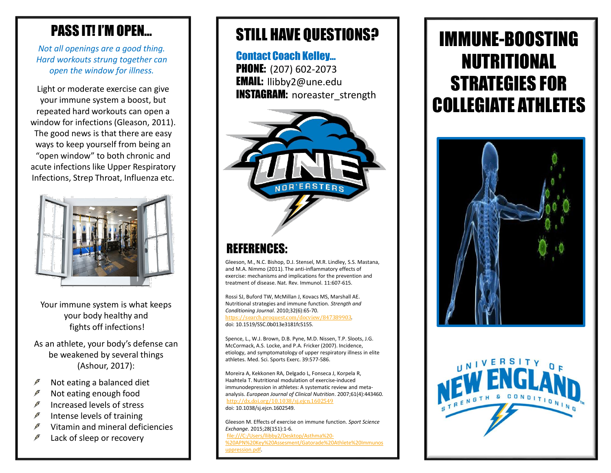#### PASS IT! I'M OPEN…

*Not all openings are a good thing. Hard workouts strung together can open the window for illness.*

Light or moderate exercise can give your immune system a boost, but repeated hard workouts can open a window for infections (Gleason, 2011). The good news is that there are easy ways to keep yourself from being an "open window" to both chronic and acute infections like Upper Respiratory Infections, Strep Throat, Influenza etc.



Your immune system is what keeps your body healthy and fights off infections!

As an athlete, your body's defense can be weakened by several things (Ashour, 2017):

- Not eating a balanced diet
- Not eating enough food
- Increased levels of stress  $\mathscr F$
- Intense levels of training  $\boldsymbol{F}$
- $\boldsymbol{F}$ Vitamin and mineral deficiencies
- Lack of sleep or recovery

## STILL HAVE QUESTIONS?

Contact Coach Kelley… **PHONE:** (207) 602-2073 EMAIL: llibby2@une.edu INSTAGRAM: noreaster\_strength



#### REFERENCES:

Gleeson, M., N.C. Bishop, D.J. Stensel, M.R. Lindley, S.S. Mastana, and M.A. Nimmo (2011). The anti-inflammatory effects of exercise: mechanisms and implications for the prevention and treatment of disease. Nat. Rev. Immunol. 11:607-615.

Rossi SJ, Buford TW, McMillan J, Kovacs MS, Marshall AE. Nutritional strategies and immune function. *Strength and Conditioning Journal*. 2010;32(6):65-70. [https://search.proquest.com/docview/847389903.](https://search.proquest.com/docview/847389903) doi: 10.1519/SSC.0b013e3181fc5155.

Spence, L., W.J. Brown, D.B. Pyne, M.D. Nissen, T.P. Sloots, J.G. McCormack, A.S. Locke, and P.A. Fricker (2007). Incidence, etiology, and symptomatology of upper respiratory illness in elite athletes. Med. Sci. Sports Exerc. 39:577-586.

Moreira A, Kekkonen RA, Delgado L, Fonseca J, Korpela R, Haahtela T. Nutritional modulation of exercise-induced immunodepression in athletes: A systematic review and metaanalysis. *European Journal of Clinical Nutrition*. 2007;61(4):443460. <http://dx.doi.org/10.1038/sj.ejcn.1602549> doi: 10.1038/sj.ejcn.1602549.

Gleeson M. Effects of exercise on immune function. *Sport Science Exchange*. 2015;28(151):1-6. file:///C:/Users/llibby2/Desktop/Asthma%20- [%20APN%20Key%20Assesment/Gatorade%20Athlete%20Immunos](http://file/C:/Users/llibby2/Desktop/Asthma - APN Key Assesment/Gatorade Athlete Immunosuppression.pdf) uppression.pdf.

# IMMUNE-BOOSTING NUTRITIONAL STRATEGIES FOR COLLEGIATE ATHLETES